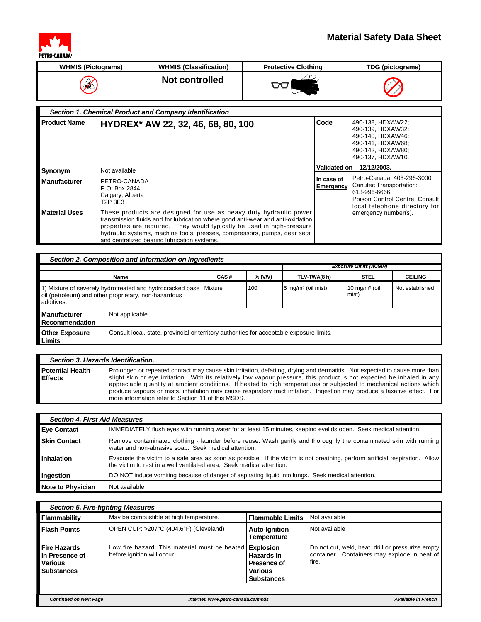

## **Material Safety Data Sheet**

| <b>WHMIS (Pictograms)</b> | <b>WHMIS (Classification)</b> | <b>Protective Clothing</b> | TDG (pictograms)                         |
|---------------------------|-------------------------------|----------------------------|------------------------------------------|
| ≰∕                        | Not controlled                |                            | $\curvearrowright$<br>$\color{red}\Join$ |

|                      | Section 1. Chemical Product and Company Identification                                                                                                                                                                                                                                                                                                      |                                                       |                                                                                                                            |
|----------------------|-------------------------------------------------------------------------------------------------------------------------------------------------------------------------------------------------------------------------------------------------------------------------------------------------------------------------------------------------------------|-------------------------------------------------------|----------------------------------------------------------------------------------------------------------------------------|
| <b>Product Name</b>  | HYDREX* AW 22, 32, 46, 68, 80, 100                                                                                                                                                                                                                                                                                                                          | Code                                                  | 490-138, HDXAW22;<br>490-139. HDXAW32:<br>490-140. HDXAW46:<br>490-141, HDXAW68;<br>490-142. HDXAW80:<br>490-137, HDXAW10. |
| Synonym              | Not available                                                                                                                                                                                                                                                                                                                                               | <b>Validated on</b>                                   | 12/12/2003.                                                                                                                |
| <b>Manufacturer</b>  | PETRO-CANADA<br>P.O. Box 2844<br>Calgary, Alberta<br>T2P 3E3                                                                                                                                                                                                                                                                                                | In case of<br>Emergency                               | Petro-Canada: 403-296-3000<br>Canutec Transportation:<br>613-996-6666<br>Poison Control Centre: Consult                    |
| <b>Material Uses</b> | These products are designed for use as heavy duty hydraulic power<br>transmission fluids and for lubrication where good anti-wear and anti-oxidation<br>properties are required. They would typically be used in high-pressure<br>hydraulic systems, machine tools, presses, compressors, pumps, gear sets,<br>and centralized bearing lubrication systems. | local telephone directory for<br>emergency number(s). |                                                                                                                            |

## *Section 2. Composition and Information on Ingredients*

|                                                                                                                                 |                                                                                           |         |         |                               | <b>Exposure Limits (ACGIH)</b>    |                 |
|---------------------------------------------------------------------------------------------------------------------------------|-------------------------------------------------------------------------------------------|---------|---------|-------------------------------|-----------------------------------|-----------------|
|                                                                                                                                 | <b>Name</b>                                                                               | CAS#    | % (V/V) | TLV-TWA(8 h)                  | <b>STEL</b>                       | <b>CEILING</b>  |
| 1) Mixture of severely hydrotreated and hydrocracked base<br>oil (petroleum) and other proprietary, non-hazardous<br>additives. |                                                                                           | Mixture | 100     | $5 \text{ mg/m}^3$ (oil mist) | $10 \text{ mg/m}^3$ (oil<br>mist) | Not established |
| <b>Manufacturer</b><br>Recommendation                                                                                           | Not applicable                                                                            |         |         |                               |                                   |                 |
| <b>Other Exposure</b><br><b>Limits</b>                                                                                          | Consult local, state, provincial or territory authorities for acceptable exposure limits. |         |         |                               |                                   |                 |

| Section 3. Hazards Identification.        |                                                                                                                                                                                                                                                                                                                                                                                                                                                                                                                                                                |
|-------------------------------------------|----------------------------------------------------------------------------------------------------------------------------------------------------------------------------------------------------------------------------------------------------------------------------------------------------------------------------------------------------------------------------------------------------------------------------------------------------------------------------------------------------------------------------------------------------------------|
| <b>Potential Health</b><br><b>Effects</b> | Prolonged or repeated contact may cause skin irritation, defatting, drying and dermatitis. Not expected to cause more than<br>slight skin or eye irritation. With its relatively low vapour pressure, this product is not expected be inhaled in any<br>appreciable quantity at ambient conditions. If heated to high temperatures or subjected to mechanical actions which<br>produce vapours or mists, inhalation may cause respiratory tract irritation. Ingestion may produce a laxative effect. For<br>more information refer to Section 11 of this MSDS. |

| <b>Section 4. First Aid Measures</b> |                                                                                                                                                                                                        |  |  |
|--------------------------------------|--------------------------------------------------------------------------------------------------------------------------------------------------------------------------------------------------------|--|--|
| <b>Eve Contact</b>                   | IMMEDIATELY flush eyes with running water for at least 15 minutes, keeping eyelids open. Seek medical attention.                                                                                       |  |  |
| <b>Skin Contact</b>                  | Remove contaminated clothing - launder before reuse. Wash gently and thoroughly the contaminated skin with running<br>water and non-abrasive soap. Seek medical attention.                             |  |  |
| Inhalation                           | Evacuate the victim to a safe area as soon as possible. If the victim is not breathing, perform artificial respiration. Allow<br>the victim to rest in a well ventilated area. Seek medical attention. |  |  |
| Ingestion                            | DO NOT induce vomiting because of danger of aspirating liquid into lungs. Seek medical attention.                                                                                                      |  |  |
| <b>Note to Physician</b>             | Not available                                                                                                                                                                                          |  |  |

| <b>Section 5. Fire-fighting Measures</b>                                     |                                                                              |                                                                                             |                                                                                                            |  |
|------------------------------------------------------------------------------|------------------------------------------------------------------------------|---------------------------------------------------------------------------------------------|------------------------------------------------------------------------------------------------------------|--|
| Flammability                                                                 | May be combustible at high temperature.                                      | <b>Flammable Limits</b>                                                                     | Not available                                                                                              |  |
| <b>Flash Points</b>                                                          | OPEN CUP: >207°C (404.6°F) (Cleveland)                                       | <b>Auto-Ignition</b><br><b>Temperature</b>                                                  | Not available                                                                                              |  |
| <b>Fire Hazards</b><br>in Presence of<br><b>Various</b><br><b>Substances</b> | Low fire hazard. This material must be heated<br>before ignition will occur. | <b>Explosion</b><br>Hazards in<br><b>Presence of</b><br><b>Various</b><br><b>Substances</b> | Do not cut, weld, heat, drill or pressurize empty<br>container. Containers may explode in heat of<br>fire. |  |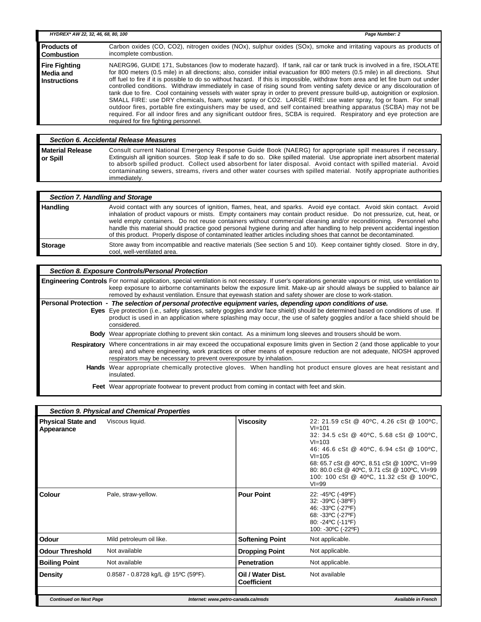| HYDREX* AW 22, 32, 46, 68, 80, 100                       |                                                                                                                                                                                                                                                                                                                                                                                                                                                                                                                                                                                                                                                                                                                                                                                                                                                                                                                                                                                                                                                                    | Page Number: 2 |
|----------------------------------------------------------|--------------------------------------------------------------------------------------------------------------------------------------------------------------------------------------------------------------------------------------------------------------------------------------------------------------------------------------------------------------------------------------------------------------------------------------------------------------------------------------------------------------------------------------------------------------------------------------------------------------------------------------------------------------------------------------------------------------------------------------------------------------------------------------------------------------------------------------------------------------------------------------------------------------------------------------------------------------------------------------------------------------------------------------------------------------------|----------------|
| <b>Products of</b><br><b>Combustion</b>                  | Carbon oxides (CO, CO2), nitrogen oxides (NOx), sulphur oxides (SOx), smoke and irritating vapours as products of<br>incomplete combustion.                                                                                                                                                                                                                                                                                                                                                                                                                                                                                                                                                                                                                                                                                                                                                                                                                                                                                                                        |                |
| <b>Fire Fighting</b><br>Media and<br><b>Instructions</b> | NAERG96, GUIDE 171, Substances (low to moderate hazard). If tank, rail car or tank truck is involved in a fire, ISOLATE<br>for 800 meters (0.5 mile) in all directions; also, consider initial evacuation for 800 meters (0.5 mile) in all directions. Shut<br>off fuel to fire if it is possible to do so without hazard. If this is impossible, withdraw from area and let fire burn out under<br>controlled conditions. Withdraw immediately in case of rising sound from venting safety device or any discolouration of<br>tank due to fire. Cool containing vessels with water spray in order to prevent pressure build-up, autoignition or explosion.<br>SMALL FIRE: use DRY chemicals, foam, water spray or CO2. LARGE FIRE: use water spray, fog or foam. For small<br>outdoor fires, portable fire extinguishers may be used, and self contained breathing apparatus (SCBA) may not be<br>required. For all indoor fires and any significant outdoor fires, SCBA is required. Respiratory and eye protection are<br>required for fire fighting personnel. |                |

## *Section 6. Accidental Release Measures* **Material Release or Spill**

Consult current National Emergency Response Guide Book (NAERG) for appropriate spill measures if necessary. Extinguish all ignition sources. Stop leak if safe to do so. Dike spilled material. Use appropriate inert absorbent material to absorb spilled product. Collect used absorbent for later disposal. Avoid contact with spilled material. Avoid contaminating sewers, streams, rivers and other water courses with spilled material. Notify appropriate authorities immediately.

|                | Section 7. Handling and Storage                                                                                                                                                                                                                                                                                                                                                                                                                                                                                                                                                                                   |  |  |  |
|----------------|-------------------------------------------------------------------------------------------------------------------------------------------------------------------------------------------------------------------------------------------------------------------------------------------------------------------------------------------------------------------------------------------------------------------------------------------------------------------------------------------------------------------------------------------------------------------------------------------------------------------|--|--|--|
| Handling       | Avoid contact with any sources of ignition, flames, heat, and sparks. Avoid eye contact. Avoid skin contact. Avoid<br>inhalation of product vapours or mists. Empty containers may contain product residue. Do not pressurize, cut, heat, or<br>weld empty containers. Do not reuse containers without commercial cleaning and/or reconditioning. Personnel who<br>handle this material should practice good personal hygiene during and after handling to help prevent accidental ingestion<br>of this product. Properly dispose of contaminated leather articles including shoes that cannot be decontaminated. |  |  |  |
| <b>Storage</b> | Store away from incompatible and reactive materials (See section 5 and 10). Keep container tightly closed. Store in dry,<br>cool, well-ventilated area.                                                                                                                                                                                                                                                                                                                                                                                                                                                           |  |  |  |

| Section 8. Exposure Controls/Personal Protection                                                                                                                                                                                                                                                                                                                                                 |
|--------------------------------------------------------------------------------------------------------------------------------------------------------------------------------------------------------------------------------------------------------------------------------------------------------------------------------------------------------------------------------------------------|
| <b>Engineering Controls</b> For normal application, special ventilation is not necessary. If user's operations generate vapours or mist, use ventilation to<br>keep exposure to airborne contaminants below the exposure limit. Make-up air should always be supplied to balance air<br>removed by exhaust ventilation. Ensure that eyewash station and safety shower are close to work-station. |
| Personal Protection - The selection of personal protective equipment varies, depending upon conditions of use.<br>Eyes Eye protection (i.e., safety glasses, safety goggles and/or face shield) should be determined based on conditions of use. If<br>product is used in an application where splashing may occur, the use of safety goggles and/or a face shield should be<br>considered.      |
| <b>Body</b> Wear appropriate clothing to prevent skin contact. As a minimum long sleeves and trousers should be worn.                                                                                                                                                                                                                                                                            |
| <b>Respiratory</b> Where concentrations in air may exceed the occupational exposure limits given in Section 2 (and those applicable to your<br>area) and where engineering, work practices or other means of exposure reduction are not adequate, NIOSH approved<br>respirators may be necessary to prevent overexposure by inhalation.                                                          |
| Hands Wear appropriate chemically protective gloves. When handling hot product ensure gloves are heat resistant and<br>insulated.                                                                                                                                                                                                                                                                |
| East Wear appropriate features to provent product from coming in contact with feat and okin                                                                                                                                                                                                                                                                                                      |

Feet Wear appropriate footwear to prevent product from coming in contact with feet and skin.

| <b>Section 9. Physical and Chemical Properties</b>         |                                         |                                                                                                                                                                                                                                                                                                                               |  |  |
|------------------------------------------------------------|-----------------------------------------|-------------------------------------------------------------------------------------------------------------------------------------------------------------------------------------------------------------------------------------------------------------------------------------------------------------------------------|--|--|
| <b>Physical State and</b><br>Viscous liquid.<br>Appearance | <b>Viscosity</b>                        | 22: 21.59 cSt @ 40°C, 4.26 cSt @ 100°C,<br>$VI = 101$<br>32: 34.5 cSt @ 40°C, 5.68 cSt @ 100°C,<br>$VI = 103$<br>46: 46.6 cSt @ 40°C, 6.94 cSt @ 100°C,<br>$VI = 105$<br>68: 65.7 cSt @ 40°C, 8.51 cSt @ 100°C, VI=99<br>80: 80.0 cSt @ 40°C, 9.71 cSt @ 100°C, VI=99<br>100: 100 cSt @ 40°C, 11.32 cSt @ 100°C,<br>$VI = 99$ |  |  |
| Colour<br>Pale, straw-yellow.                              | <b>Pour Point</b>                       | 22: -45°C (-49°F)<br>32: -39°C (-38°F)<br>46: -33°C (-27°F)<br>68: -33°C (-27°F)<br>80: -24°C (-11°F)<br>100: -30°C (-22°F)                                                                                                                                                                                                   |  |  |
| Odour<br>Mild petroleum oil like.                          | <b>Softening Point</b>                  | Not applicable.                                                                                                                                                                                                                                                                                                               |  |  |
| Not available<br><b>Odour Threshold</b>                    | <b>Dropping Point</b>                   | Not applicable.                                                                                                                                                                                                                                                                                                               |  |  |
| Not available<br><b>Boiling Point</b>                      | Penetration                             | Not applicable.                                                                                                                                                                                                                                                                                                               |  |  |
| $0.8587 - 0.8728$ kg/L @ 15°C (59°F).<br><b>Density</b>    | Oil / Water Dist.<br><b>Coefficient</b> | Not available                                                                                                                                                                                                                                                                                                                 |  |  |
| <b>Continued on Next Page</b>                              | Internet: www.petro-canada.ca/msds      | <b>Available in French</b>                                                                                                                                                                                                                                                                                                    |  |  |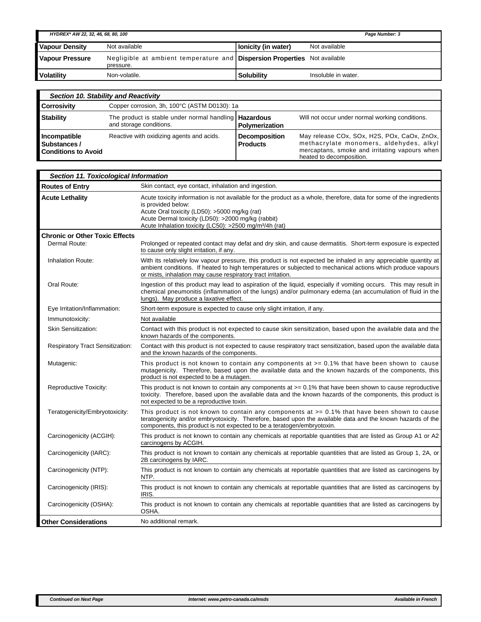| HYDREX* AW 22, 32, 46, 68, 80, 100 |                                                                                               |                     | Page Number: 3      |
|------------------------------------|-----------------------------------------------------------------------------------------------|---------------------|---------------------|
| <b>Vapour Density</b>              | Not available                                                                                 | Ionicity (in water) | Not available       |
| <b>Vapour Pressure</b>             | Negligible at ambient temperature and <b>Dispersion Properties</b> Not available<br>pressure. |                     |                     |
| <b>Volatility</b>                  | Non-volatile.                                                                                 | <b>Solubility</b>   | Insoluble in water. |

| Section 10. Stability and Reactivity                       |                                                                                           |                                         |                                                                                                                                                                     |  |
|------------------------------------------------------------|-------------------------------------------------------------------------------------------|-----------------------------------------|---------------------------------------------------------------------------------------------------------------------------------------------------------------------|--|
| <b>Corrosivity</b>                                         | Copper corrosion, 3h, 100°C (ASTM D0130): 1a                                              |                                         |                                                                                                                                                                     |  |
| <b>Stability</b>                                           | The product is stable under normal handling   <b>Hazardous</b><br>and storage conditions. | Polymerization                          | Will not occur under normal working conditions.                                                                                                                     |  |
| Incompatible<br>Substances /<br><b>Conditions to Avoid</b> | Reactive with oxidizing agents and acids.                                                 | <b>Decomposition</b><br><b>Products</b> | May release COx, SOx, H2S, POx, CaOx, ZnOx,<br>methacrylate monomers, aldehydes, alkyl<br>mercaptans, smoke and irritating vapours when<br>heated to decomposition. |  |

| <b>Section 11. Toxicological Information</b>           |                                                                                                                                                                                                                                                                                                                         |  |
|--------------------------------------------------------|-------------------------------------------------------------------------------------------------------------------------------------------------------------------------------------------------------------------------------------------------------------------------------------------------------------------------|--|
| <b>Routes of Entry</b>                                 | Skin contact, eye contact, inhalation and ingestion.                                                                                                                                                                                                                                                                    |  |
| <b>Acute Lethality</b>                                 | Acute toxicity information is not available for the product as a whole, therefore, data for some of the ingredients<br>is provided below:<br>Acute Oral toxicity (LD50): >5000 mg/kg (rat)<br>Acute Dermal toxicity (LD50): >2000 mg/kg (rabbit)<br>Acute Inhalation toxicity (LC50): >2500 mg/m <sup>3</sup> /4h (rat) |  |
| <b>Chronic or Other Toxic Effects</b><br>Dermal Route: | Prolonged or repeated contact may defat and dry skin, and cause dermatitis. Short-term exposure is expected<br>to cause only slight irritation, if any.                                                                                                                                                                 |  |
| Inhalation Route:                                      | With its relatively low vapour pressure, this product is not expected be inhaled in any appreciable quantity at<br>ambient conditions. If heated to high temperatures or subjected to mechanical actions which produce vapours<br>or mists, inhalation may cause respiratory tract irritation.                          |  |
| Oral Route:                                            | Ingestion of this product may lead to aspiration of the liquid, especially if vomiting occurs. This may result in<br>chemical pneumonitis (inflammation of the lungs) and/or pulmonary edema (an accumulation of fluid in the<br>lungs). May produce a laxative effect.                                                 |  |
| Eye Irritation/Inflammation:                           | Short-term exposure is expected to cause only slight irritation, if any.                                                                                                                                                                                                                                                |  |
| Immunotoxicity:                                        | Not available                                                                                                                                                                                                                                                                                                           |  |
| <b>Skin Sensitization:</b>                             | Contact with this product is not expected to cause skin sensitization, based upon the available data and the<br>known hazards of the components.                                                                                                                                                                        |  |
| <b>Respiratory Tract Sensitization:</b>                | Contact with this product is not expected to cause respiratory tract sensitization, based upon the available data<br>and the known hazards of the components.                                                                                                                                                           |  |
| Mutagenic:                                             | This product is not known to contain any components at $\epsilon$ = 0.1% that have been shown to cause<br>mutagenicity. Therefore, based upon the available data and the known hazards of the components, this<br>product is not expected to be a mutagen.                                                              |  |
| <b>Reproductive Toxicity:</b>                          | This product is not known to contain any components at > = 0.1% that have been shown to cause reproductive<br>toxicity. Therefore, based upon the available data and the known hazards of the components, this product is<br>not expected to be a reproductive toxin.                                                   |  |
| Teratogenicity/Embryotoxicity:                         | This product is not known to contain any components at $>= 0.1\%$ that have been shown to cause<br>teratogenicity and/or embryotoxicity. Therefore, based upon the available data and the known hazards of the<br>components, this product is not expected to be a teratogen/embryotoxin.                               |  |
| Carcinogenicity (ACGIH):                               | This product is not known to contain any chemicals at reportable quantities that are listed as Group A1 or A2<br>carcinogens by ACGIH.                                                                                                                                                                                  |  |
| Carcinogenicity (IARC):                                | This product is not known to contain any chemicals at reportable quantities that are listed as Group 1, 2A, or<br>2B carcinogens by IARC.                                                                                                                                                                               |  |
| Carcinogenicity (NTP):                                 | This product is not known to contain any chemicals at reportable quantities that are listed as carcinogens by<br>NTP.                                                                                                                                                                                                   |  |
| Carcinogenicity (IRIS):                                | This product is not known to contain any chemicals at reportable quantities that are listed as carcinogens by<br>IRIS.                                                                                                                                                                                                  |  |
| Carcinogenicity (OSHA):                                | This product is not known to contain any chemicals at reportable quantities that are listed as carcinogens by<br>OSHA.                                                                                                                                                                                                  |  |
| <b>Other Considerations</b>                            | No additional remark.                                                                                                                                                                                                                                                                                                   |  |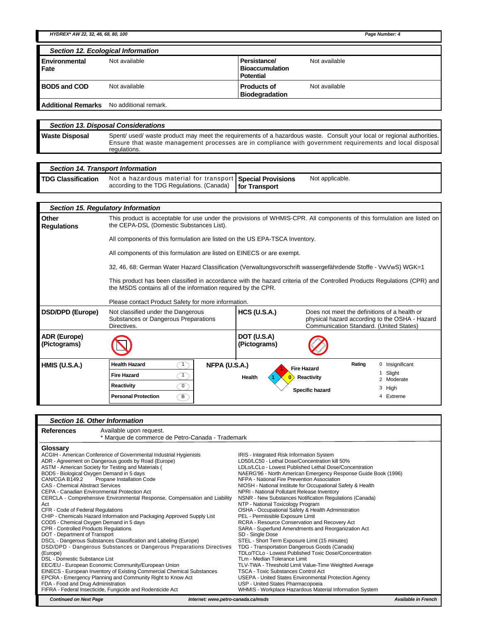*HYDREX\* AW 22, 32, 46, 68, 80, 100 Page Number: 4*

|                       | Section 12. Ecological Information |                                                            |               |
|-----------------------|------------------------------------|------------------------------------------------------------|---------------|
| Environmental<br>Fate | Not available                      | Persistance/<br><b>Bioaccumulation</b><br><b>Potential</b> | Not available |
| <b>BOD5 and COD</b>   | Not available                      | <b>Products of</b><br><b>Biodegradation</b>                | Not available |
|                       |                                    |                                                            |               |

**Additional Remarks** No additional remark.

*Section 13. Disposal Considerations* Waste Disposal Spent/ used/ waste product may meet the requirements of a hazardous waste. Consult your local or regional authorities. Ensure that waste management processes are in compliance with government requirements and local disposal regulations.

## *Section 14. Transport Information*

| <b>TDG Classification</b> | Not a hazardous material for transport Special Provisions  | Not applicable. |
|---------------------------|------------------------------------------------------------|-----------------|
|                           | according to the TDG Regulations. (Canada)   for Transport |                 |

| Section 15. Regulatory Information |                                                                                                                                                                                           |                             |                                                                                         |                                                |
|------------------------------------|-------------------------------------------------------------------------------------------------------------------------------------------------------------------------------------------|-----------------------------|-----------------------------------------------------------------------------------------|------------------------------------------------|
| Other<br><b>Regulations</b>        | This product is acceptable for use under the provisions of WHMIS-CPR. All components of this formulation are listed on<br>the CEPA-DSL (Domestic Substances List).                        |                             |                                                                                         |                                                |
|                                    | All components of this formulation are listed on the US EPA-TSCA Inventory.                                                                                                               |                             |                                                                                         |                                                |
|                                    | All components of this formulation are listed on EINECS or are exempt.                                                                                                                    |                             |                                                                                         |                                                |
|                                    | 32, 46, 68: German Water Hazard Classification (Verwaltungsvorschrift wassergefährdende Stoffe - VwVwS) WGK=1                                                                             |                             |                                                                                         |                                                |
|                                    | This product has been classified in accordance with the hazard criteria of the Controlled Products Regulations (CPR) and<br>the MSDS contains all of the information required by the CPR. |                             |                                                                                         |                                                |
|                                    | Please contact Product Safety for more information.                                                                                                                                       |                             |                                                                                         |                                                |
| <b>DSD/DPD (Europe)</b>            | Not classified under the Dangerous<br>Substances or Dangerous Preparations<br>Directives.                                                                                                 | <b>HCS (U.S.A.)</b>         | Does not meet the definitions of a health or<br>Communication Standard. (United States) | physical hazard according to the OSHA - Hazard |
| ADR (Europe)<br>(Pictograms)       |                                                                                                                                                                                           | DOT (U.S.A)<br>(Pictograms) |                                                                                         |                                                |
| <b>HMIS (U.S.A.)</b>               | <b>Health Hazard</b><br>NFPA (U.S.A.)<br>$\overline{1}$                                                                                                                                   |                             | Rating<br><b>Fire Hazard</b>                                                            | Insignificant                                  |
|                                    | <b>Fire Hazard</b><br>$\mathbf{1}$                                                                                                                                                        | Health                      | Reactivity                                                                              | Slight<br>Moderate                             |
|                                    | Reactivity<br>$\overline{0}$                                                                                                                                                              |                             | Specific hazard                                                                         | 3<br>High                                      |
|                                    | $\mathbf{B}$<br><b>Personal Protection</b>                                                                                                                                                |                             |                                                                                         | Extreme<br>4                                   |

| Section 16. Other Information                |                                                                           |                                                                |                            |
|----------------------------------------------|---------------------------------------------------------------------------|----------------------------------------------------------------|----------------------------|
| References                                   | Available upon request.                                                   |                                                                |                            |
|                                              | * Marque de commerce de Petro-Canada - Trademark                          |                                                                |                            |
| Glossary                                     |                                                                           |                                                                |                            |
|                                              | ACGIH - American Conference of Governmental Industrial Hygienists         | IRIS - Integrated Risk Information System                      |                            |
|                                              | ADR - Agreement on Dangerous goods by Road (Europe)                       | LD50/LC50 - Lethal Dose/Concentration kill 50%                 |                            |
|                                              | ASTM - American Society for Testing and Materials (                       | LDLo/LCLo - Lowest Published Lethal Dose/Concentration         |                            |
|                                              | BOD5 - Biological Oxygen Demand in 5 days                                 | NAERG'96 - North American Emergency Response Guide Book (1996) |                            |
| CAN/CGA B149.2                               | Propane Installation Code                                                 | NFPA - National Fire Prevention Association                    |                            |
| <b>CAS - Chemical Abstract Services</b>      |                                                                           | NIOSH - National Institute for Occupational Safety & Health    |                            |
|                                              | CEPA - Canadian Environmental Protection Act                              | NPRI - National Pollutant Release Inventory                    |                            |
|                                              | CERCLA - Comprehensive Environmental Response, Compensation and Liability | NSNR - New Substances Notification Regulations (Canada)        |                            |
| Act                                          |                                                                           | NTP - National Toxicology Program                              |                            |
| CFR - Code of Federal Regulations            |                                                                           | OSHA - Occupational Safety & Health Administration             |                            |
|                                              | CHIP - Chemicals Hazard Information and Packaging Approved Supply List    | PEL - Permissible Exposure Limit                               |                            |
|                                              | COD5 - Chemical Oxygen Demand in 5 days                                   | RCRA - Resource Conservation and Recovery Act                  |                            |
| <b>CPR - Controlled Products Regulations</b> |                                                                           | SARA - Superfund Amendments and Reorganization Act             |                            |
| DOT - Department of Transport                |                                                                           | SD - Single Dose                                               |                            |
|                                              | DSCL - Dangerous Substances Classification and Labeling (Europe)          | STEL - Short Term Exposure Limit (15 minutes)                  |                            |
|                                              | DSD/DPD - Dangerous Substances or Dangerous Preparations Directives       | TDG - Transportation Dangerous Goods (Canada)                  |                            |
| (Europe)                                     |                                                                           | TDLo/TCLo - Lowest Published Toxic Dose/Concentration          |                            |
| DSL - Domestic Substance List                |                                                                           | TLm - Median Tolerance Limit                                   |                            |
|                                              | EEC/EU - European Economic Community/European Union                       | TLV-TWA - Threshold Limit Value-Time Weighted Average          |                            |
|                                              | EINECS - European Inventory of Existing Commercial Chemical Substances    | <b>TSCA - Toxic Substances Control Act</b>                     |                            |
|                                              | EPCRA - Emergency Planning and Community Right to Know Act                | USEPA - United States Environmental Protection Agency          |                            |
| FDA - Food and Drug Administration           |                                                                           | USP - United States Pharmacopoeia                              |                            |
|                                              | FIFRA - Federal Insecticide, Fungicide and Rodenticide Act                | WHMIS - Workplace Hazardous Material Information System        |                            |
| <b>Continued on Next Page</b>                | Internet: www.petro-canada.ca/msds                                        |                                                                | <b>Available in French</b> |